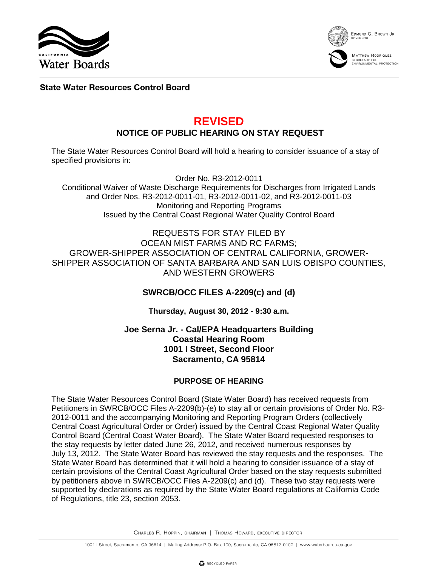

EDMUND G. BROWN JR.



MATTHEW RODRIQUEZ SECRETARY FOR<br>ENVIRONMENTAL PROTECTION

**State Water Resources Control Board** 

# **REVISED**

**NOTICE OF PUBLIC HEARING ON STAY REQUEST**

The State Water Resources Control Board will hold a hearing to consider issuance of a stay of specified provisions in:

Order No. R3-2012-0011

Conditional Waiver of Waste Discharge Requirements for Discharges from Irrigated Lands and Order Nos. R3-2012-0011-01, R3-2012-0011-02, and R3-2012-0011-03 Monitoring and Reporting Programs Issued by the Central Coast Regional Water Quality Control Board

REQUESTS FOR STAY FILED BY OCEAN MIST FARMS AND RC FARMS; GROWER-SHIPPER ASSOCIATION OF CENTRAL CALIFORNIA, GROWER-SHIPPER ASSOCIATION OF SANTA BARBARA AND SAN LUIS OBISPO COUNTIES, AND WESTERN GROWERS

# **SWRCB/OCC FILES A-2209(c) and (d)**

**Thursday, August 30, 2012 - 9:30 a.m.**

**Joe Serna Jr. - Cal/EPA Headquarters Building Coastal Hearing Room 1001 I Street, Second Floor Sacramento, CA 95814** 

## **PURPOSE OF HEARING**

The State Water Resources Control Board (State Water Board) has received requests from Petitioners in SWRCB/OCC Files A-2209(b)-(e) to stay all or certain provisions of Order No. R3- 2012-0011 and the accompanying Monitoring and Reporting Program Orders (collectively Central Coast Agricultural Order or Order) issued by the Central Coast Regional Water Quality Control Board (Central Coast Water Board). The State Water Board requested responses to the stay requests by letter dated June 26, 2012, and received numerous responses by July 13, 2012. The State Water Board has reviewed the stay requests and the responses. The State Water Board has determined that it will hold a hearing to consider issuance of a stay of certain provisions of the Central Coast Agricultural Order based on the stay requests submitted by petitioners above in SWRCB/OCC Files A-2209(c) and (d). These two stay requests were supported by declarations as required by the State Water Board regulations at California Code of Regulations, title 23, section 2053.

CHARLES R. HOPPIN, CHAIRMAN | THOMAS HOWARD, EXECUTIVE DIRECTOR

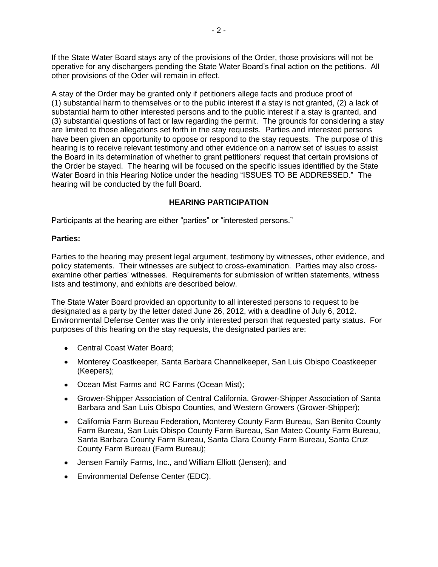If the State Water Board stays any of the provisions of the Order, those provisions will not be operative for any dischargers pending the State Water Board's final action on the petitions. All other provisions of the Oder will remain in effect.

A stay of the Order may be granted only if petitioners allege facts and produce proof of (1) substantial harm to themselves or to the public interest if a stay is not granted, (2) a lack of substantial harm to other interested persons and to the public interest if a stay is granted, and (3) substantial questions of fact or law regarding the permit. The grounds for considering a stay are limited to those allegations set forth in the stay requests. Parties and interested persons have been given an opportunity to oppose or respond to the stay requests. The purpose of this hearing is to receive relevant testimony and other evidence on a narrow set of issues to assist the Board in its determination of whether to grant petitioners' request that certain provisions of the Order be stayed. The hearing will be focused on the specific issues identified by the State Water Board in this Hearing Notice under the heading "ISSUES TO BE ADDRESSED."The hearing will be conducted by the full Board.

#### **HEARING PARTICIPATION**

Participants at the hearing are either "parties" or "interested persons."

#### **Parties:**

Parties to the hearing may present legal argument, testimony by witnesses, other evidence, and policy statements. Their witnesses are subject to cross-examination. Parties may also crossexamine other parties' witnesses. Requirements for submission of written statements, witness lists and testimony, and exhibits are described below.

The State Water Board provided an opportunity to all interested persons to request to be designated as a party by the letter dated June 26, 2012, with a deadline of July 6, 2012. Environmental Defense Center was the only interested person that requested party status. For purposes of this hearing on the stay requests, the designated parties are:

- Central Coast Water Board:
- Monterey Coastkeeper, Santa Barbara Channelkeeper, San Luis Obispo Coastkeeper (Keepers);
- Ocean Mist Farms and RC Farms (Ocean Mist);
- Grower-Shipper Association of Central California, Grower-Shipper Association of Santa Barbara and San Luis Obispo Counties, and Western Growers (Grower-Shipper);
- California Farm Bureau Federation, Monterey County Farm Bureau, San Benito County Farm Bureau, San Luis Obispo County Farm Bureau, San Mateo County Farm Bureau, Santa Barbara County Farm Bureau, Santa Clara County Farm Bureau, Santa Cruz County Farm Bureau (Farm Bureau);
- Jensen Family Farms, Inc., and William Elliott (Jensen); and
- Environmental Defense Center (EDC).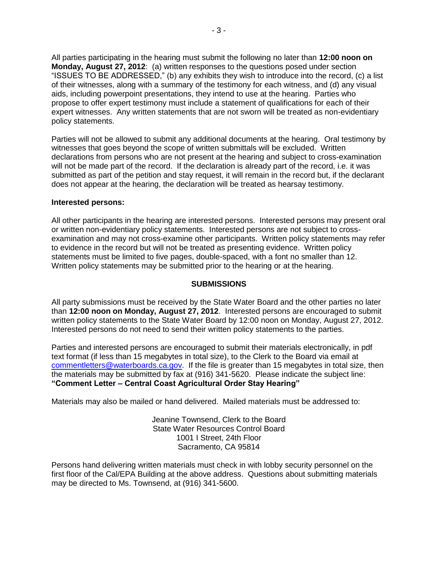All parties participating in the hearing must submit the following no later than **12:00 noon on Monday, August 27, 2012**: (a) written responses to the questions posed under section "ISSUES TO BE ADDRESSED," (b) any exhibits they wish to introduce into the record, (c) a list of their witnesses, along with a summary of the testimony for each witness, and (d) any visual aids, including powerpoint presentations, they intend to use at the hearing. Parties who propose to offer expert testimony must include a statement of qualifications for each of their expert witnesses. Any written statements that are not sworn will be treated as non-evidentiary policy statements.

Parties will not be allowed to submit any additional documents at the hearing. Oral testimony by witnesses that goes beyond the scope of written submittals will be excluded. Written declarations from persons who are not present at the hearing and subject to cross-examination will not be made part of the record. If the declaration is already part of the record, i.e. it was submitted as part of the petition and stay request, it will remain in the record but, if the declarant does not appear at the hearing, the declaration will be treated as hearsay testimony.

#### **Interested persons:**

All other participants in the hearing are interested persons. Interested persons may present oral or written non-evidentiary policy statements. Interested persons are not subject to crossexamination and may not cross-examine other participants. Written policy statements may refer to evidence in the record but will not be treated as presenting evidence. Written policy statements must be limited to five pages, double-spaced, with a font no smaller than 12. Written policy statements may be submitted prior to the hearing or at the hearing.

#### **SUBMISSIONS**

All party submissions must be received by the State Water Board and the other parties no later than **12:00 noon on Monday, August 27, 2012**. Interested persons are encouraged to submit written policy statements to the State Water Board by 12:00 noon on Monday, August 27, 2012. Interested persons do not need to send their written policy statements to the parties.

Parties and interested persons are encouraged to submit their materials electronically, in pdf text format (if less than 15 megabytes in total size), to the Clerk to the Board via email at [commentletters@waterboards.ca.gov.](mailto:commentletters@waterboards.ca.gov) If the file is greater than 15 megabytes in total size, then the materials may be submitted by fax at (916) 341-5620. Please indicate the subject line: **"Comment Letter – Central Coast Agricultural Order Stay Hearing"**

Materials may also be mailed or hand delivered. Mailed materials must be addressed to:

Jeanine Townsend, Clerk to the Board State Water Resources Control Board 1001 I Street, 24th Floor Sacramento, CA 95814

Persons hand delivering written materials must check in with lobby security personnel on the first floor of the Cal/EPA Building at the above address. Questions about submitting materials may be directed to Ms. Townsend, at (916) 341-5600.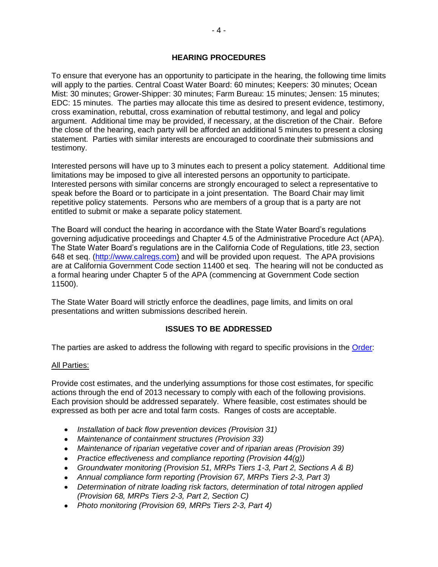## **HEARING PROCEDURES**

To ensure that everyone has an opportunity to participate in the hearing, the following time limits will apply to the parties. Central Coast Water Board: 60 minutes; Keepers: 30 minutes; Ocean Mist: 30 minutes; Grower-Shipper: 30 minutes; Farm Bureau: 15 minutes; Jensen: 15 minutes; EDC: 15 minutes. The parties may allocate this time as desired to present evidence, testimony, cross examination, rebuttal, cross examination of rebuttal testimony, and legal and policy argument. Additional time may be provided, if necessary, at the discretion of the Chair. Before the close of the hearing, each party will be afforded an additional 5 minutes to present a closing statement. Parties with similar interests are encouraged to coordinate their submissions and testimony.

Interested persons will have up to 3 minutes each to present a policy statement. Additional time limitations may be imposed to give all interested persons an opportunity to participate. Interested persons with similar concerns are strongly encouraged to select a representative to speak before the Board or to participate in a joint presentation. The Board Chair may limit repetitive policy statements. Persons who are members of a group that is a party are not entitled to submit or make a separate policy statement.

The Board will conduct the hearing in accordance with the State Water Board's regulations governing adjudicative proceedings and Chapter 4.5 of the Administrative Procedure Act (APA). The State Water Board's regulations are in the California Code of Regulations, title 23, section 648 et seq. [\(http://www.calregs.com\)](http://www.calregs.com/) and will be provided upon request. The APA provisions are at California Government Code section 11400 et seq. The hearing will not be conducted as a formal hearing under Chapter 5 of the APA (commencing at Government Code section 11500).

The State Water Board will strictly enforce the deadlines, page limits, and limits on oral presentations and written submissions described herein.

## **ISSUES TO BE ADDRESSED**

The parties are asked to address the following with regard to specific provisions in the [Order:](http://www.waterboards.ca.gov/centralcoast/water_issues/programs/ag_waivers/index.shtml)

#### All Parties:

Provide cost estimates, and the underlying assumptions for those cost estimates, for specific actions through the end of 2013 necessary to comply with each of the following provisions. Each provision should be addressed separately. Where feasible, cost estimates should be expressed as both per acre and total farm costs. Ranges of costs are acceptable.

- *Installation of back flow prevention devices (Provision 31)*
- *Maintenance of containment structures (Provision 33)*
- *Maintenance of riparian vegetative cover and of riparian areas (Provision 39)*
- *Practice effectiveness and compliance reporting (Provision 44(g))*
- *Groundwater monitoring (Provision 51, MRPs Tiers 1-3, Part 2, Sections A & B)*
- *Annual compliance form reporting (Provision 67, MRPs Tiers 2-3, Part 3)*
- *Determination of nitrate loading risk factors, determination of total nitrogen applied (Provision 68, MRPs Tiers 2-3, Part 2, Section C)*
- *Photo monitoring (Provision 69, MRPs Tiers 2-3, Part 4)*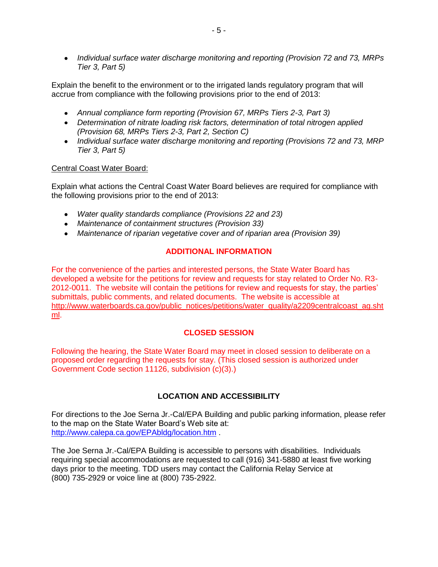*Individual surface water discharge monitoring and reporting (Provision 72 and 73, MRPs Tier 3, Part 5)*

Explain the benefit to the environment or to the irrigated lands regulatory program that will accrue from compliance with the following provisions prior to the end of 2013:

- *Annual compliance form reporting (Provision 67, MRPs Tiers 2-3, Part 3)*
- *Determination of nitrate loading risk factors, determination of total nitrogen applied (Provision 68, MRPs Tiers 2-3, Part 2, Section C)*
- *Individual surface water discharge monitoring and reporting (Provisions 72 and 73, MRP Tier 3, Part 5)*

## Central Coast Water Board:

Explain what actions the Central Coast Water Board believes are required for compliance with the following provisions prior to the end of 2013:

- *Water quality standards compliance (Provisions 22 and 23)*
- *Maintenance of containment structures (Provision 33)*
- *Maintenance of riparian vegetative cover and of riparian area (Provision 39)*

#### **ADDITIONAL INFORMATION**

For the convenience of the parties and interested persons, the State Water Board has developed a website for the petitions for review and requests for stay related to Order No. R3- 2012-0011. The website will contain the petitions for review and requests for stay, the parties' submittals, public comments, and related documents. The website is accessible at [http://www.waterboards.ca.gov/public\\_notices/petitions/water\\_quality/a2209centralcoast\\_ag.sht](http://www.waterboards.ca.gov/public_notices/petitions/water_quality/a2209centralcoast_ag.shtml) [ml.](http://www.waterboards.ca.gov/public_notices/petitions/water_quality/a2209centralcoast_ag.shtml)

## **CLOSED SESSION**

Following the hearing, the State Water Board may meet in closed session to deliberate on a proposed order regarding the requests for stay. (This closed session is authorized under Government Code section 11126, subdivision (c)(3).)

## **LOCATION AND ACCESSIBILITY**

For directions to the Joe Serna Jr.-Cal/EPA Building and public parking information, please refer to the map on the State Water Board's Web site at: <http://www.calepa.ca.gov/EPAbldg/location.htm> .

The Joe Serna Jr.-Cal/EPA Building is accessible to persons with disabilities. Individuals requiring special accommodations are requested to call (916) 341-5880 at least five working days prior to the meeting. TDD users may contact the California Relay Service at (800) 735-2929 or voice line at (800) 735-2922.